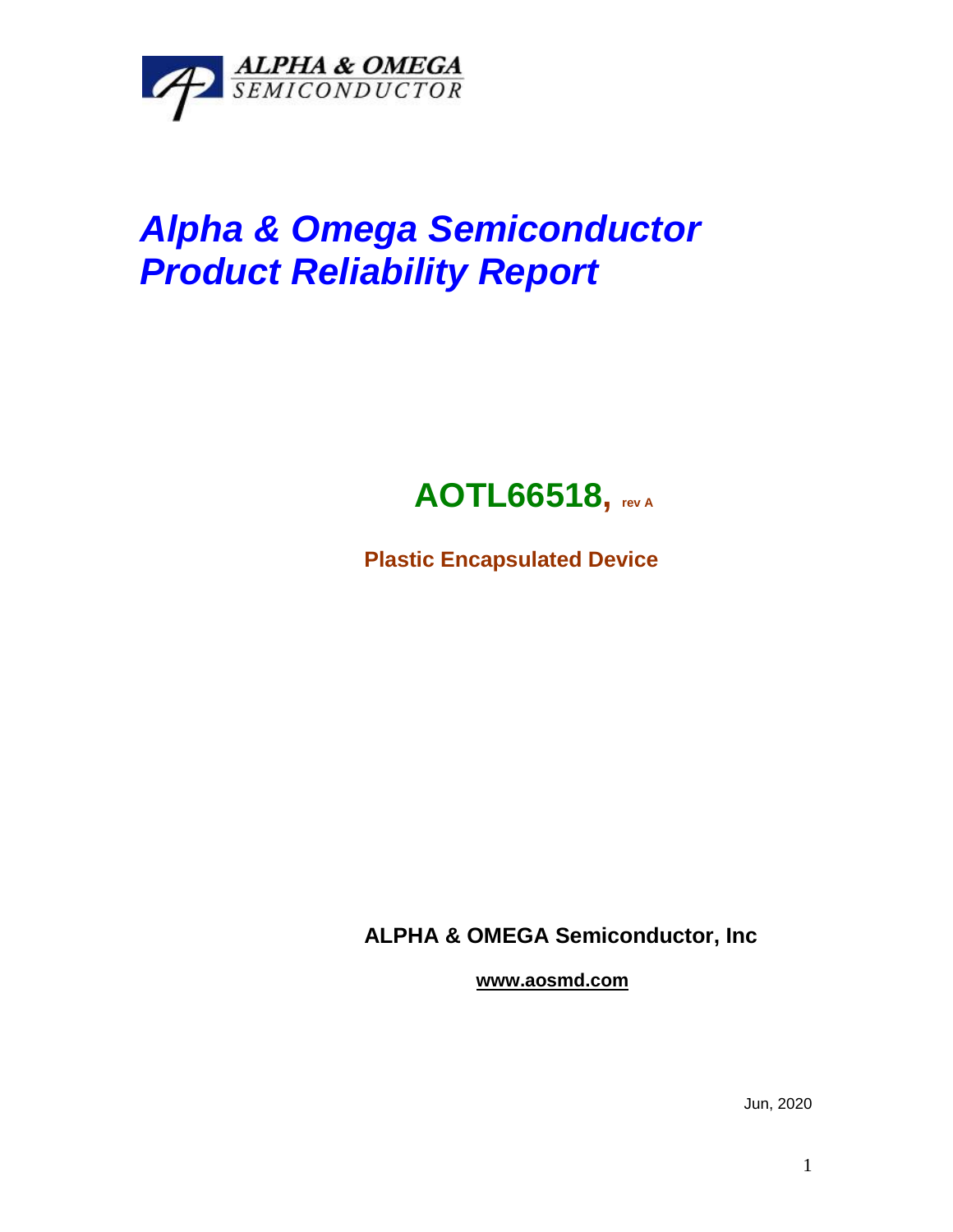

## *Alpha & Omega Semiconductor Product Reliability Report*



**Plastic Encapsulated Device**

**ALPHA & OMEGA Semiconductor, Inc**

**www.aosmd.com**

Jun, 2020